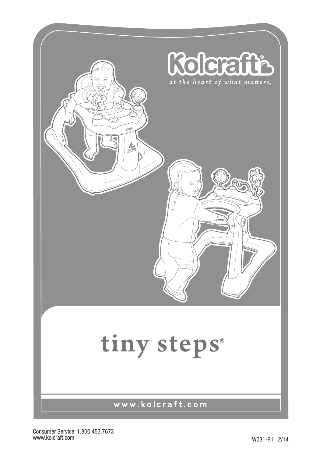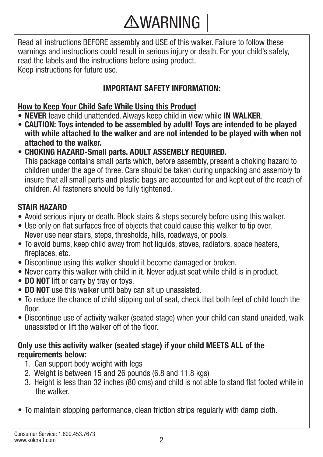## **AWARNING**

Read all instructions BEFORE assembly and USE of this walker. Failure to follow these warnings and instructions could result in serious injury or death. For your child's safety, read the labels and the instructions before using product. Keep instructions for future use.

#### **IMPORTANT SAFETY INFORMATION:**

#### **How to Keep Your Child Safe While Using this Product**

- **NEVER** leave child unattended. Always keep child in view while **IN WALKER**.
- **• CAUTION: Toys intended to be assembled by adult! Toys are intended to be played with while attached to the walker and are not intended to be played with when not attached to the walker.**
- **• CHOKING HAZARD-Small parts. ADULT ASSEMBLY REQUIRED.** This package contains small parts which, before assembly, present a choking hazard to children under the age of three. Care should be taken during unpacking and assembly to insure that all small parts and plastic bags are accounted for and kept out of the reach of children. All fasteners should be fully tightened.

### **STAIR HAZARD**

- Avoid serious injury or death. Block stairs & steps securely before using this walker.
- Use only on flat surfaces free of objects that could cause this walker to tip over. Never use near stairs, steps, thresholds, hills, roadways, or pools.
- To avoid burns, keep child away from hot liquids, stoves, radiators, space heaters, fireplaces, etc.
- Discontinue using this walker should it become damaged or broken.
- Never carry this walker with child in it. Never adjust seat while child is in product.
- **DO NOT** lift or carry by tray or toys.
- **DO NOT** use this walker until baby can sit up unassisted.
- To reduce the chance of child slipping out of seat, check that both feet of child touch the floor
- Discontinue use of activity walker (seated stage) when your child can stand unaided, walk unassisted or lift the walker off of the floor.

#### **Only use this activity walker (seated stage) if your child MEETS ALL of the requirements below:**

- 1. Can support body weight with legs
- 2. Weight is between 15 and 26 pounds (6.8 and 11.8 kgs)
- 3. Height is less than 32 inches (80 cms) and child is not able to stand flat footed while in the walker.
- To maintain stopping performance, clean friction strips regularly with damp cloth.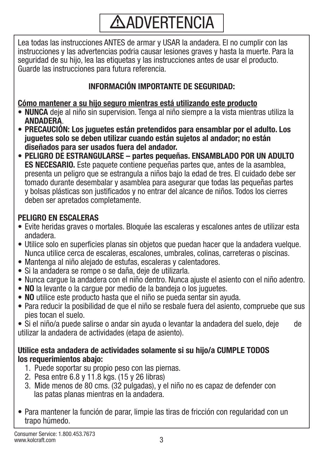# **ADVERTENCIA**

Lea todas las instrucciones ANTES de armar y USAR la andadera. El no cumplir con las instrucciones y las advertencias podria causar lesiones graves y hasta la muerte. Para la seguridad de su hijo, lea las etiquetas y las instrucciones antes de usar el producto. Guarde las instrucciones para futura referencia.

#### **INFORMACIÓN IMPORTANTE DE SEGURIDAD:**

**Cómo mantener a su hijo seguro mientras está utilizando este producto**

- **NUNCA** deje al niño sin supervision. Tenga al niño siempre a la vista mientras utiliza la **ANDADERA**.
- **PRECAUCIÓN: Los juguetes están pretendidos para ensamblar por el adulto. Los juguetes solo se deben utilizar cuando están sujetos al andador; no están diseñados para ser usados fuera del andador.**
- **• PELIGRO DE ESTRANGULARSE partes pequeñas. ENSAMBLADO POR UN ADULTO ES NECESARIO.** Este paquete contiene pequeñas partes que, antes de la asamblea, presenta un peligro que se estrangula a niños bajo la edad de tres. El cuidado debe ser tomado durante desembalar y asamblea para asegurar que todas las pequeñas partes y bolsas plásticas son justificados y no entrar del alcance de niños. Todos los cierres deben ser apretados completamente.

#### **PELIGRO EN ESCALERAS**

- Evite heridas graves o mortales. Bloquée las escaleras y escalones antes de utilizar esta andadera.
- Utilice solo en superficies planas sin objetos que puedan hacer que la andadera vuelque. Nunca utilice cerca de escaleras, escalones, umbrales, colinas, carreteras o piscinas.
- Mantenga al niño alejado de estufas, escaleras y calentadores.
- Si la andadera se rompe o se daña, deje de utilizarla.
- Nunca cargue la andadera con el niño dentro. Nunca ajuste el asiento con el niño adentro.
- **NO** la levante o la cargue por medio de la bandeja o los juguetes.
- **NO** utilice este producto hasta que el niño se pueda sentar sin ayuda.
- Para reducir la posibilidad de que el niño se resbale fuera del asiento, compruebe que sus pies tocan el suelo.

#### **Utilice esta andadera de actividades solamente si su hijo/a CUMPLE TODOS los requerimientos abajo:**

- 1. Puede soportar su propio peso con las piernas.
- 2. Pesa entre 6.8 y 11.8 kgs. (15 y 26 libras)
- 3. Mide menos de 80 cms. (32 pulgadas), y el niño no es capaz de defender con las patas planas mientras en la andadera.
- Para mantener la función de parar, limpie las tiras de fricción con regularidad con un trapo húmedo.

<sup>•</sup> Si el niño/a puede salirse o andar sin ayuda o levantar la andadera del suelo, deje de utilizar la andadera de actividades (etapa de asiento).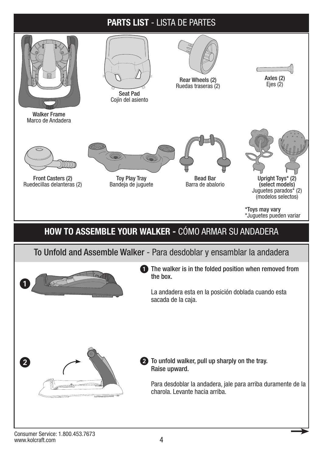#### **PARTS LIST** - LISTA DE PARTES

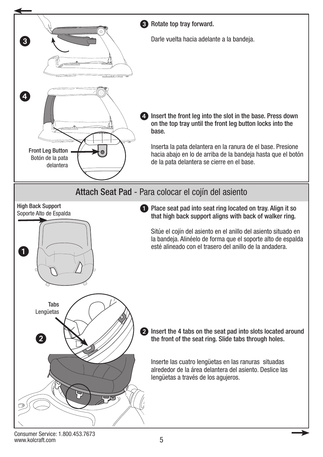

Consumer Service: 1.800.453.7673 www.kolcraft.com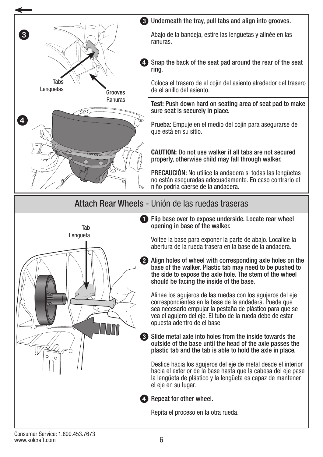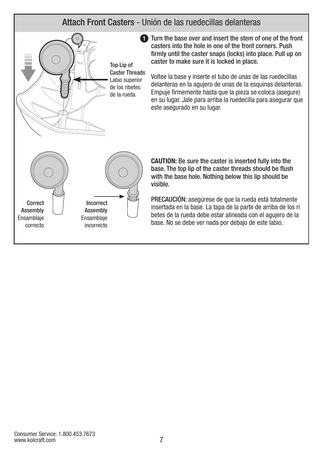#### Attach Front Casters - Unión de las ruedecillas delanteras



**1** Turn the base over and insert the stem of one of the front casters into the hole in one of the front corners. Push firmly until the caster snaps (locks) into place. Pull up on caster to make sure it is locked in place.

Voltee la base y inserte el tubo de unas de las ruedecillas delanteras en la agujero de unas de la esquinas delanteras. Empuje firmemente hasta que la pieza se coloca (asegure) en su lugar. Jale para arriba la ruedecilla para asegurar que este asegurado en su lugar.

**CAUTION:** Be sure the caster is inserted fully into the base. The top lip of the caster threads should be flush with the base hole. Nothing below this lip should be visible.

PRECAUCIÓN: asegúrese de que la rueda está totalmente insertada en la base. La tapa de la parte de arriba de los ri betes de la rueda debe estar alineada con el agujero de la base. No se debe ver nada por debajo de este labio.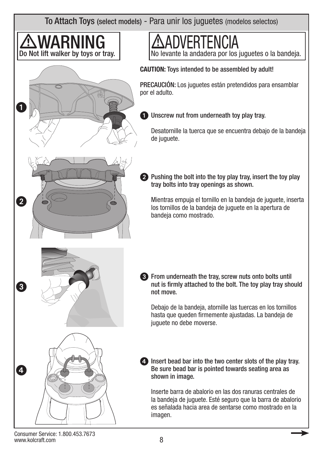To Attach Toys (select models) - Para unir los juguetes (modelos selectos)



Consumer Service: 1.800.453.7673 www.kolcraft.com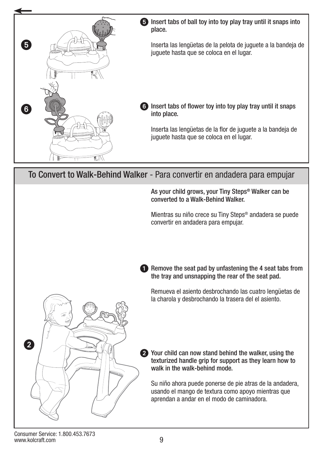

To Convert to Walk-Behind Walker - Para convertir en andadera para empujar

As your child grows, your Tiny Steps® Walker can be converted to a Walk-Behind Walker.

Mientras su niño crece su Tiny Steps® andadera se puede convertir en andadera para empujar.

**1** Remove the seat pad by unfastening the 4 seat tabs from the tray and unsnapping the rear of the seat pad.

Remueva el asiento desbrochando las cuatro lengüetas de la charola y desbrochando la trasera del el asiento.



2 Your child can now stand behind the walker, using the texturized handle grip for support as they learn how to walk in the walk-behind mode.

Su niño ahora puede ponerse de pie atras de la andadera, usando el mango de textura como apoyo mientras que aprendan a andar en el modo de caminadora.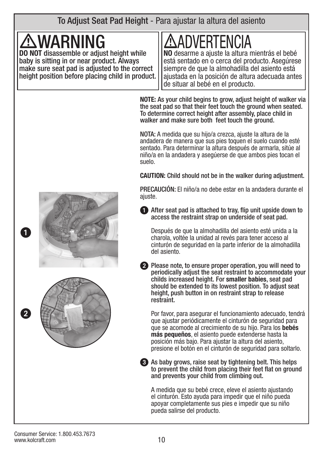To Adjust Seat Pad Height - Para ajustar la altura del asiento

# **WARN**

**DO NOT** disassemble or adjust height while baby is sitting in or near product. Always make sure seat pad is adjusted to the correct height position before placing child in product.

# **/:\ADVERTENCIA<br>no** desarme a ajuste la altura mientrás el bebé

está sentado en o cerca del producto. Asegúrese siempre de que la almohadilla del asiento está ajustada en la posición de altura adecuada antes de situar al bebé en el producto.

**NOTE:** As your child begins to grow, adjust height of walker via the seat pad so that their feet touch the ground when seated. To determine correct height after assembly, place child in walker and make sure both feet touch the ground.

NOTA: A medida que su hijo/a crezca, ajuste la altura de la andadera de manera que sus pies toquen el suelo cuando esté sentado. Para determinar la altura después de armarla, sitúe al niño/a en la andadera y asegúerse de que ambos pies tocan el suelo.

**CAUTION:** Child should not be in the walker during adjustment.

PRECAUCIÓN: El niño/a no debe estar en la andadera durante el aiuste.

**1** After seat pad is attached to tray, flip unit upside down to access the restraint strap on underside of seat pad.

Después de que la almohadilla del asiento esté unida a la charola, voltée la unidad al revés para tener acceso al cinturón de seguridad en la parte inferior de la almohadilla del asiento.

2 Please note, to ensure proper operation, you will need to periodically adjust the seat restraint to accommodate your childs increased height. For **smaller babies**, seat pad should be extended to its lowest position. To adjust seat height, push button in on restraint strap to release restraint.

Por favor, para asegurar el funcionamiento adecuado, tendrá que ajustar periódicamente el cinturón de seguridad para que se acomode al crecimiento de su hijo. Para los **bebés más pequeños**, el asiento puede extenderse hasta la posición más bajo. Para ajustar la altura del asiento, presione el botón en el cinturón de seguridad para soltarlo.

3 As baby grows, raise seat by tightening belt. This helps to prevent the child from placing their feet flat on ground and prevents your child from climbing out.

A medida que su bebé crece, eleve el asiento ajustando el cinturón. Esto ayuda para impedir que el niño pueda apoyar completamente sus pies e impedir que su niño pueda salirse del producto.



2

 $\bf 0$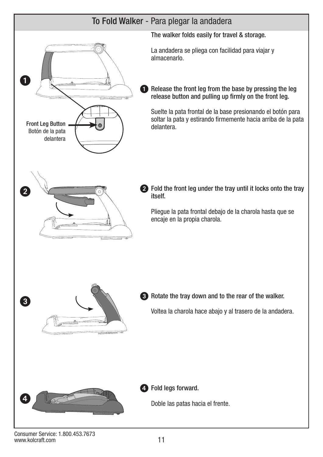

Consumer Service: 1.800.453.7673 www.kolcraft.com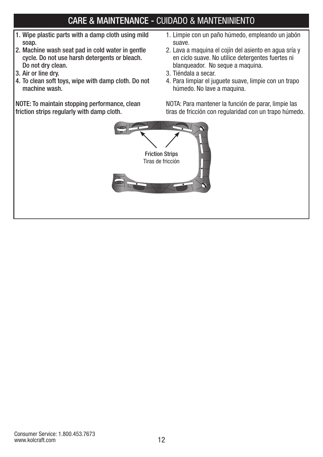### CARE & MAINTENANCE - CUIDADO & MANTENINIENTO

- 1. Wipe plastic parts with a damp cloth using mild soap.
- 2. Machine wash seat pad in cold water in gentle cycle. Do not use harsh detergents or bleach. Do not dry clean.
- 3. Air or line dry.
- 4. To clean soft toys, wipe with damp cloth. Do not machine wash.

NOTE: To maintain stopping performance, clean friction strips regularly with damp cloth.

- 1. Limpie con un paño húmedo, empleando un jabón suave.
- 2. Lava a maquina el cojín del asiento en agua sría y en ciclo suave. No utilice detergentes fuertes ni blanqueador. No seque a maquina.
- 3. Tiéndala a secar.
- 4. Para limpiar el juguete suave, limpie con un trapo húmedo. No lave a maquina.

NOTA: Para mantener la función de parar, limpie las tiras de fricción con regularidad con un trapo húmedo.

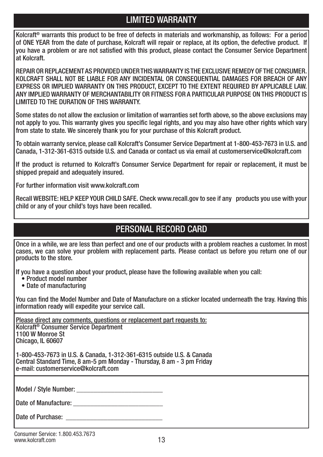#### LIMITED WARRANTY

Kolcraft® warrants this product to be free of defects in materials and workmanship, as follows: For a period of ONE YEAR from the date of purchase, Kolcraft will repair or replace, at its option, the defective product. If you have a problem or are not satisfied with this product, please contact the Consumer Service Department at Kolcraft.

REPAIR OR REPLACEMENT AS PROVIDED UNDER THIS WARRANTY IS THE EXCLUSIVE REMEDY OF THE CONSUMER. KOLCRAFT SHALL NOT BE LIABLE FOR ANY INCIDENTAL OR CONSEQUENTIAL DAMAGES FOR BREACH OF ANY EXPRESS OR IMPLIED WARRANTY ON THIS PRODUCT, EXCEPT TO THE EXTENT REQUIRED BY APPLICABLE LAW. ANY IMPLIED WARRANTY OF MERCHANTABILITY OR FITNESS FOR A PARTICULAR PURPOSE ON THIS PRODUCT IS LIMITED TO THE DURATION OF THIS WARRANTY.

Some states do not allow the exclusion or limitation of warranties set forth above, so the above exclusions may not apply to you. This warranty gives you specific legal rights, and you may also have other rights which vary from state to state. We sincerely thank you for your purchase of this Kolcraft product.

To obtain warranty service, please call Kolcraft's Consumer Service Department at 1-800-453-7673 in U.S. and Canada, 1-312-361-6315 outside U.S. and Canada or contact us via email at customerservice@kolcraft.com

If the product is returned to Kolcraft's Consumer Service Department for repair or replacement, it must be shipped prepaid and adequately insured.

For further information visit www.kolcraft.com

Recall WEBSITE: HELP KEEP YOUR CHILD SAFE. Check www.recall.gov to see if any products you use with your child or any of your child's toys have been recalled.

#### PERSONAL RECORD CARD

Once in a while, we are less than perfect and one of our products with a problem reaches a customer. In most cases, we can solve your problem with replacement parts. Please contact us before you return one of our products to the store.

If you have a question about your product, please have the following available when you call:

- Product model number
- Date of manufacturing

You can find the Model Number and Date of Manufacture on a sticker located underneath the tray. Having this information ready will expedite your service call.

Please direct any comments, questions or replacement part requests to: Kolcraft® Consumer Service Department 1100 W Monroe St Chicago, IL 60607

1-800-453-7673 in U.S. & Canada, 1-312-361-6315 outside U.S. & Canada Central Standard Time, 8 am-5 pm Monday - Thursday, 8 am - 3 pm Friday e-mail: customerservice@kolcraft.com

Model / Style Number:

Date of Manufacture: \_\_\_\_\_\_\_\_\_\_\_\_\_\_\_\_\_\_\_\_\_\_\_\_\_\_

Date of Purchase: